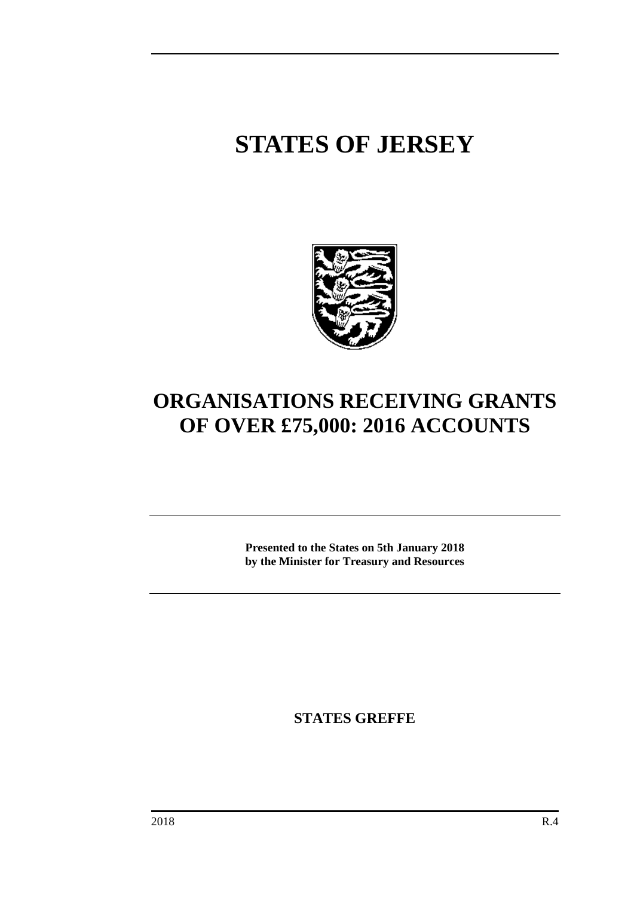# **STATES OF JERSEY**



## **ORGANISATIONS RECEIVING GRANTS OF OVER £75,000: 2016 ACCOUNTS**

**Presented to the States on 5th January 2018 by the Minister for Treasury and Resources**

**STATES GREFFE**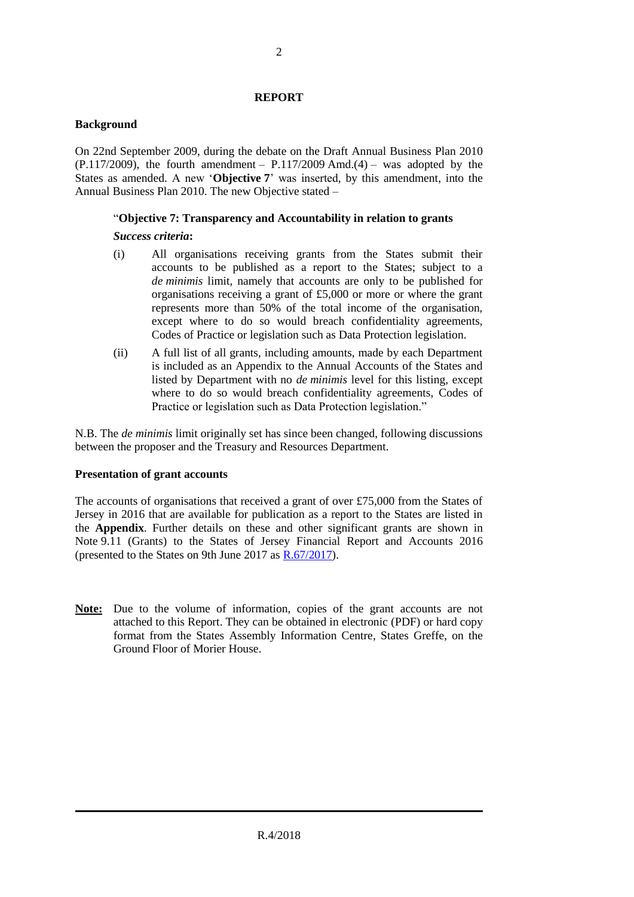#### **REPORT**

#### **Background**

On 22nd September 2009, during the debate on the Draft Annual Business Plan 2010  $(P.117/2009)$ , the fourth amendment –  $P.117/2009$  Amd.(4) – was adopted by the States as amended. A new '**Objective 7**' was inserted, by this amendment, into the Annual Business Plan 2010. The new Objective stated –

### "**Objective 7: Transparency and Accountability in relation to grants**

#### *Success criteria***:**

- (i) All organisations receiving grants from the States submit their accounts to be published as a report to the States; subject to a *de minimis* limit, namely that accounts are only to be published for organisations receiving a grant of £5,000 or more or where the grant represents more than 50% of the total income of the organisation, except where to do so would breach confidentiality agreements, Codes of Practice or legislation such as Data Protection legislation.
- (ii) A full list of all grants, including amounts, made by each Department is included as an Appendix to the Annual Accounts of the States and listed by Department with no *de minimis* level for this listing, except where to do so would breach confidentiality agreements, Codes of Practice or legislation such as Data Protection legislation."

N.B. The *de minimis* limit originally set has since been changed, following discussions between the proposer and the Treasury and Resources Department.

#### **Presentation of grant accounts**

The accounts of organisations that received a grant of over £75,000 from the States of Jersey in 2016 that are available for publication as a report to the States are listed in the **Appendix**. Further details on these and other significant grants are shown in Note 9.11 (Grants) to the States of Jersey Financial Report and Accounts 2016 (presented to the States on 9th June 2017 as [R.67/2017\)](http://www.statesassembly.gov.je/assemblyreports/2017/r.67-2017.pdf).

**Note:** Due to the volume of information, copies of the grant accounts are not attached to this Report. They can be obtained in electronic (PDF) or hard copy format from the States Assembly Information Centre, States Greffe, on the Ground Floor of Morier House.